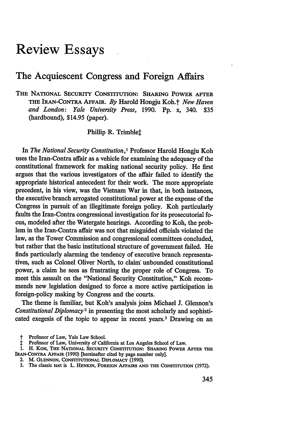# **Review Essays**

# The Acquiescent Congress and Foreign Affairs

## THE **NATIONAL** SECURITY CONsTrruTION: **SHARING** POWER **AFTER THE** IRAN-CONTRA **AFFAIR.** *By* Harold Hongju Koh.t *New Haven and London: Yale University Press,* 1990. Pp. x, 340. \$35 (hardbound), \$14.95 (paper).

Phillip R. Trimblet

In *The National Security Constitution*,<sup>1</sup> Professor Harold Hongju Koh uses the Iran-Contra affair as a vehicle for examining the adequacy of the constitutional framework for making national security policy. He first argues that the various investigators of the affair failed to identify the appropriate historical antecedent for their work. The more appropriate precedent, in his view, was the Vietnam War in that, in both instances, the executive branch arrogated constitutional power at the expense of the Congress in pursuit of an illegitimate foreign policy. Koh particularly faults the Iran-Contra congressional investigation for its prosecutorial focus, modeled after the Watergate hearings. According to Koh, the problem in the Iran-Contra affair was not that misguided officials violated the law, as the Tower Commission and congressional committees concluded, but rather that the basic institutional structure of government failed. He finds particularly alarming the tendency of executive branch representatives, such as Colonel Oliver North, to clain unbounded constitutional power, a claim he sees as frustrating the proper role of Congress. To meet this assault on the "National Security Constitution," Koh recommends new legislation designed to force a more active participation in foreign-policy making by Congress and the courts.

The theme is familiar, but Koh's analysis joins Michael **J.** Glennon's *Constitutional Diplomacy 2* in presenting the most scholarly and sophisticated exegesis of the topic to appear in recent years.<sup>3</sup> Drawing on an

t Professor **of** Law, Yale **Law** School.

<sup>:</sup> **Professor** of **Law, University of California at Los Angeles School** of **Law.**

**<sup>1.</sup> H. KOH, THE NATIONAL** SECuRrrY **CONSTITUTION: SHARING** POWER **AFtER THE** IRAN-CONTRA **AFFAIR (1990)** [hereinafter **cited by page** number only].

**<sup>2.</sup> M. GLENNON, CONSTITUTIONAL DIPLOMACY (1990).**

**<sup>3.</sup>** The classic **text** is **L.** HFNKIN, FOREIGN **AFFAIRS AND THE CONSTITUTION (1972).**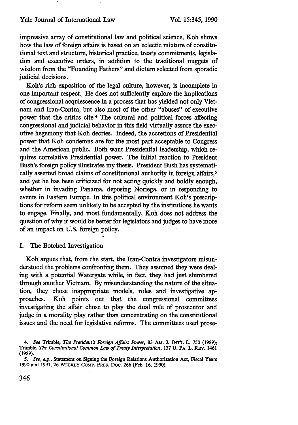#### Yale Journal of International Law

impressive array of constitutional law and political science, Koh shows how the law of foreign affairs is based on an eclectic mixture of constitutional text and structure, historical practice, treaty commitments, legislation and executive orders, in addition to the traditional nuggets of wisdom from the "Founding Fathers" and dictum selected from sporadic judicial decisions.

Koh's rich exposition of the legal culture, however, is incomplete in one important respect. He does not sufficiently explore the implications of congressional acquiescence in a process that has yielded not only Vietnam and Iran-Contra, but also most of the other "abuses" of executive power that the critics cite.4 The cultural and political forces affecting congressional and judicial behavior in this field virtually assure the executive hegemony that Koh decries. Indeed, the accretions of Presidential power that Koh condemns are for the most part acceptable to Congress and the American public. Both want Presidential leadership, which requires correlative Presidential power. The initial reaction to President Bush's foreign policy illustrates my thesis. President Bush has systematically asserted broad claims of constitutional authority in foreign affairs,<sup>5</sup> and yet he has been criticized for not acting quickly and boldly enough, whether in invading Panama, deposing Noriega, or in responding to events in Eastern Europe. In this political environment Koh's prescriptions for reform seem unlikely to be accepted by the institutions he wants to engage. Finally, and most fundamentally, Koh does not address the question of why it would be better for legislators and judges to have more of an impact on U.S. foreign policy.

I. The Botched Investigation

Koh argues that, from the start, the Iran-Contra investigators misunderstood the problems confronting them. They assumed they were dealing with a potential Watergate while, in fact, they had just slumbered through another Vietnam. By misunderstanding the nature of the situation, they chose inappropriate models, roles and investigative approaches. Koh points out that the congressional committees investigating the affair chose to play the dual role of prosecutor and judge in a morality play rather than concentrating on the constitutional issues and the need for legislative reforms. The committees used prose-

*<sup>4.</sup> See* Trimble, *The President's Foreign Affairs Power,* **83** AM. **J. INT'L** L. **750 (1989);** Trimble, *The Constitutional Common Law of Treaty Interpretation,* 137 **U.** PA. L. REV. 1461 **(1989).**

<sup>5.</sup> See, e.g., Statement on Signing the Foreign Relations Authorization Act, Fiscal Years 1990 and 1991, 26 **WEEKLY** COMP. **PaEs. Doc.** 266 (Feb. 16, 1990).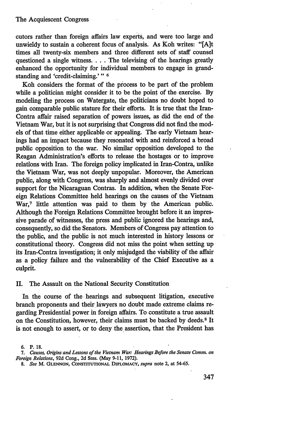cutors rather than foreign affairs law experts, and were too large and unwieldy to sustain a coherent focus of analysis. As Koh writes: "[A]t times all twenty-six members and three different sets of staff counsel questioned a single witness **....** The televising of the hearings greatly enhanced the opportunity for individual members to engage in grandstanding and 'credit-claiming.'" **<sup>6</sup>**

Koh considers the format of the process to be part of the problem while a politician might consider it to be the point of the exercise. By modeling the process on Watergate, the politicians no doubt hoped to gain comparable public stature for their efforts. It is true that the Iran-Contra affair raised separation of powers issues, as did the end of the Vietnam War, but it is not surprising that Congress did not find the models of that time either applicable or appealing. The early Vietnam hearings had an impact because they resonated with and reinforced a broad public opposition to the war. No similar opposition developed to the Reagan Administration's efforts to release the hostages or to improve relations with Iran. The foreign policy implicated in Iran-Contra, unlike the Vietnam War, was not deeply unpopular. Moreover, the American public, along with Congress, was sharply and almost evenly divided over support for the Nicaraguan Contras. In addition, when the Senate Foreign Relations Committee held hearings on the causes of the Vietnam War,<sup>7</sup> little attention was paid to them by the American public. Although the Foreign Relations Committee brought before it an impressive parade of witnesses, the press and public ignored the hearings and, consequently, so did the Senators. Members of Congress pay attention to the public, and the public is not much interested in history lessons or constitutional theory. Congress did not miss the point when setting up its Iran-Contra investigation; it only misjudged the viability of the affair as a policy failure and the vulnerability of the Chief Executive as a culprit.

#### II. The Assault on the National Security Constitution

In the course of the hearings and subsequent litigation, executive branch proponents and their lawyers no doubt made extreme claims regarding Presidential power in foreign affairs. To constitute a true assault on the Constitution, however, their claims must be backed by deeds.8 It is not enough to assert, or to deny the assertion, that the President has

6. P. **18.**

*<sup>7.</sup> Causes, Origins and Lessons of the Vietnam War: Hearings Before the Senate Comm. on Foreign Relations,* 92d Cong., 2d Sess. (May 9-11, 1972).

*<sup>8.</sup> See* M. **GLENNON, CONSTITUTIONAL DIPLOMACY,** *supra* note 2, at 54-65.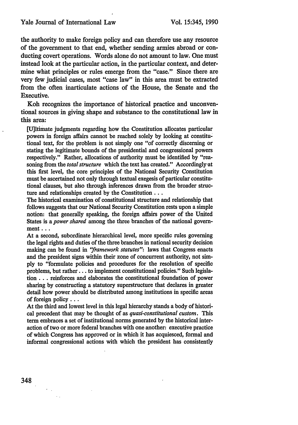the authority to make foreign policy and can therefore use any resource of the government to that end, whether sending armies abroad or conducting covert operations. Words alone do not amount to law. One must instead look at the particular action, in the particular context, and determine what principles or rules emerge from the "case." Since there are very few judicial cases, most "case law" in this area must be extracted from the often inarticulate actions of the House, the Senate and the Executive.

Koh recognizes the importance of historical practice and unconventional sources in giving shape and substance to the constitutional law in this area:

[Ultimate judgments regarding how the Constitution allocates particular powers in foreign affairs cannot be reached solely by looking at constitutional text, for the problem is not simply one "of correctly discerning or stating the legitimate bounds of the presidential and congressional powers respectively." Rather, allocations of authority must be identified by "reasoning from the *total structure* which the text has created." Accordingly at this first level, the core principles of the National Security Constitution must be ascertained not only through textual exegesis of particular constitutional clauses, but also through inferences drawn from the broader structure and relationships created by the Constitution...

The historical examination of constitutional structure and relationship that follows suggests that our National Security Constitution rests upon a simple notion: that generally speaking, the foreign affairs power of the United States is a *power shared* among the three branches of the national government...

At a second, subordinate hierarchical level, more specific rules governing the legal rights and duties of the three branches in national security decision making can be found in *'framework statutes":* laws that Congress enacts and the president signs within their zone of concurrent authority, not simply to "formulate policies and procedures for the resolution of specific problems, but rather.., to implement constitutional policies." Such legislation **...** reinforces and elaborates the constitutional foundation of power sharing **by** constructing a statutory superstructure that declares in greater detail how power should be distributed among institutions in specific areas of foreign policy...

At the third and lowest level in this legal hierarchy stands a body of historical precedent that may be thought of as *quasi-constitutional custom.* This term embraces a set of institutional norms generated by the historical interaction of two or more federal branches with one another: executive practice of which Congress has approved or in which it has acquiesced, formal and informal congressional actions with which the president has consistently

 $\langle\sigma\rangle_{\rm{th}}$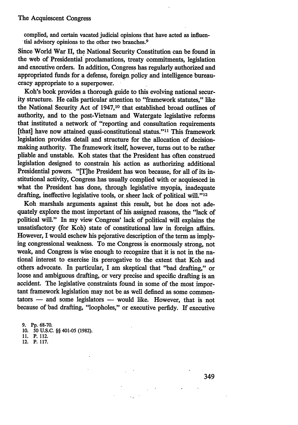complied, and certain vacated judicial opinions that have acted as influential advisory opinions to the other two branches.<sup>9</sup>

Since World War II, the National Security Constitution can be found in the web of Presidential proclamations, treaty commitments, legislation and executive orders. In addition, Congress has regularly authorized and appropriated funds for a defense, foreign, policy and intelligence bureaucracy appropriate to a superpower.

Koh's book provides a thorough guide to this evolving national security structure. He calls particular attention to "framework statutes," like the National Security Act of 1947,<sup>10</sup> that established broad outlines of authority, and to the post-Vietnam and Watergate legislative reforms that instituted a network of "reporting and consultation requirements [that] have now attained quasi-constitutional status."<sup>11</sup> This framework legislation provides detail and structure for the allocation of decisionmaking authority. The framework itself, however, turns out to be rather pliable and unstable. Koh states that the President has often construed legislation designed to constrain his action as authorizing additional Presidential powers. *"[T]he* President has won because, for all of its institutional activity, Congress has usually complied with or acquiesced in what the President has done, through legislative myopia, inadequate drafting, ineffective legislative tools, or sheer lack of political will."<sup>12</sup>

Koh marshals arguments against this result, but he does not adequately explore the most important of his assigned reasons, the "lack of political will." In my view Congress' lack of political will explains the unsatisfactory (for Koh) state of constitutional law in foreign affairs. However, I would eschew his pejorative description of the term as implying congressional weakness. To me Congress is enormously strong, not weak, and Congress is wise enough to recognize that it is not in the national interest to exercise its prerogative to the extent that Koh and others advocate. In particular, I am skeptical that "bad drafting," or loose and ambiguous drafting, or very precise and specific drafting is an accident. The legislative constraints found in some of the most important framework legislation may not be as well defined as some commen $tators$  - and some legislators - would like. However, that is not because of bad drafting, "loopholes," or executive perfidy. If executive

9. Pp. 68-70.

**10. 50** U.S.C. §§ 401-05 (1982).

12. P. 117.

<sup>11.</sup> P. 112.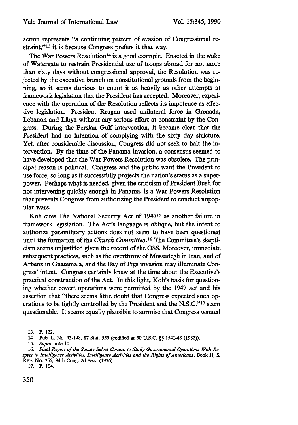action represents "a continuing pattern of evasion of Congressional restraint."<sup>13</sup> it is because Congress prefers it that way.

The War Powers Resolution<sup>14</sup> is a good example. Enacted in the wake of Watergate to restrain Presidential use of troops abroad for not more than sixty days without congressional approval, the Resolution was rejected by the executive branch on constitutional grounds from the beginning, so it seems dubious to count it as heavily as other attempts at framework legislation that the President has accepted. Moreover, experience with the operation of the Resolution reflects its impotence as effective legislation. President Reagan used unilateral force in Grenada, Lebanon and Libya without any serious effort at constraint by the Congress. During the Persian Gulf intervention, it became clear that the President had no intention of complying with the sixty day stricture. Yet, after considerable discussion, Congress did not seek to halt the intervention. By the time of the Panama invasion, a consensus seemed to have developed that the War Powers Resolution was obsolete. The principal reason is political. Congress and the public want the President to use force, so long as it successfully projects the nation's status as a superpower. Perhaps what is needed, given the criticism of President Bush for not intervening quickly enough in Panama, is a War Powers Resolution that prevents Congress from authorizing the President to conduct unpopular wars.

Koh cites The National Security Act of 194715 as another failure in framework legislation. The Act's language is oblique, but the intent to authorize paramilitary actions does not seem to have been questioned until the formation of the *Church Committee.'6* The Committee's skepticism seems unjustified given the record of the OSS. Moreover, immediate subsequent practices, such as the overthrow of Mossadegh in Iran, and of Arbenz in Guatemala, and the Bay of Pigs invasion may illuminate Congress' intent. Congress certainly knew at the time about the Executive's practical construction of the Act. In this light, Koh's basis for questioning whether covert operations were permitted by the 1947 act and his assertion that "there seems little doubt that Congress expected such operations to be tightly controlled by the President and the **N.S.C."'17** seem questionable. It seems equally plausible to surmise that Congress wanted

**<sup>13.</sup>** P. 122.

<sup>14.</sup> Pub. L. No. 93-148, 87 Stat. 555 (codified at 50 **U.S.C.** §§ 1541-48 (1982)).

*<sup>15.</sup> Supra* note 10.

<sup>16.</sup> *Final Report of the Senate Select Comm. to Study Governmental Operations With Respect to Intelligence Activities, Intelligence Activities and the Rights of Americans,* Book II, **S.** REP. No. 755, 94th Cong. 2d Sess. (1976).

<sup>17.</sup> P. 104.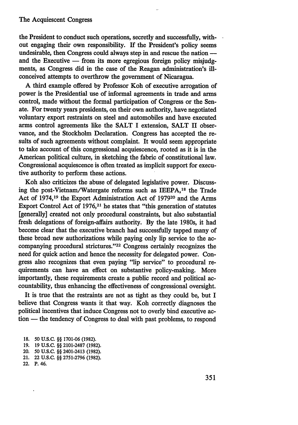the President to conduct such operations, secretly and successfully, without engaging their own responsibility. If the President's policy seems undesirable, then Congress could always step in and rescue the nation  and the Executive  $-$  from its more egregious foreign policy misjudgments, as Congress did in the case of the Reagan administration's **ill**conceived attempts to overthrow the government of Nicaragua.

A third example offered **by** Professor Koh of executive arrogation of power is the Presidential use of informal agreements in trade and arms control, made without the formal participation of Congress or the Senate. For twenty years presidents, on their own authority, have negotiated voluntary export restraints on steel and automobiles and have executed arms control agreements like the **SALT** I extension, **SALT** II observance, and the Stockholm Declaration. Congress has accepted the results of such agreements without complaint. It would seem appropriate to take account of this congressional acquiescence, rooted as it is in the American political culture, in sketching the fabric of constitutional law. Congressional acquiescence is often treated as implicit support for executive authority to perform these actions.

Koh also criticizes the abuse of delegated legislative power. Discussing the post-Vietnam/Watergate reforms such as IEEPA,18 the Trade Act of **1974,19** the Export Administration Act of **197920** and the Arms Export Control Act of **1976,21** he states that "this generation of statutes [generally] created not only procedural constraints, but also substantial fresh delegations of foreign-affairs authority. **By** the late 1980s, it had become clear that the executive branch had successfully tapped many of these broad new authorizations while paying only **lip** service to the accompanying procedural strictures."'22 Congress certainly recognizes the need for quick action and hence the necessity for delegated power. Congress also recognizes that even paying **"lip** service" to procedural requirements can have an effect on substantive policy-making. More importantly, these requirements create a public record and political accountability, thus enhancing the effectiveness of congressional oversight.

It is true that the restraints are not as tight as they could be, but I believe that Congress wants it that way. Koh correctly diagnoses the political incentives that induce Congress not to overly bind executive action **-** the tendency of Congress to deal with past problems, to respond

**<sup>18.</sup> 50 U.S.C. §§ 1701-06 (1982).**

**<sup>19.</sup>** 19 **U.S.C. §§ 2101-2487 (1982).**

<sup>20.</sup> **50 U.S.C. §§** 2401-2413 **(1982).**

<sup>21. 22</sup> **U.S.C. §§ 2751-2796 (1982).**

<sup>22.</sup> P. 46.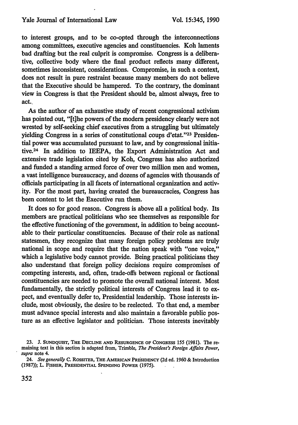to interest groups, and to be co-opted through the interconnections among committees, executive agencies and constituencies. Koh laments bad drafting but the real culprit is compromise. Congress is a deliberative, collective body where the final product reflects many different, sometimes inconsistent, considerations. Compromise, in such a context, does not result in pure restraint because many members do not believe that the Executive should be hampered. To the contrary, the dominant view in Congress is that the President should be, almost always, free to act..

As the author of an exhaustive study of recent congressional activism has pointed out, "[t]he powers of the modem presidency clearly were not wrested by self-seeking chief executives from a struggling but ultimately yielding Congress in a series of constitutional coups d'etat. '23 Presidential power was accumulated pursuant to law, and by congressional initiative.24 In addition to IEEPA, the Export Administration Act and extensive trade legislation cited by Koh, Congress has also authorized and funded a standing armed force of over two million men and women, a vast intelligence bureaucracy, and dozens of agencies with thousands of officials participating in all facets of international organization and activity. For the most part, having created the bureaucracies, Congress has been content to let the Executive run them.

It does so for good reason. Congress is above all a political body. Its members are practical politicians who see themselves as responsible for the effective functioning of the government, in addition to being accountable to their particular constituencies. Because of their role as national statesmen, they recognize that many foreign policy problems are truly national in scope and require that the nation speak with "one voice," which a legislative body cannot provide. Being practical politicians they also understand that foreign policy decisions require compromises of competing interests, and, often, trade-offs between regional or factional constituencies are needed to promote the overall national interest. Most fundamentally, the strictly political interests of Congress lead it to expect, and eventually defer to, Presidential leadership. Those interests include, most obviously, the desire to be reelected. To that end, a member must advance special interests and also maintain a favorable public posture as an effective legislator and politician. Those interests inevitably

352

**<sup>23.</sup>** J. **SuNDQuIsT, THE DECLINE AND RESURGENCE OF CONGRESS 155 (1981).** The remaining text in this section is adapted from, Trimble, *The President's Foreign Affairs Power, supra* note 4.

*<sup>24.</sup> See generally* **C.** RossrrER, **THE AMERICAN PRESIDENCY (2d** ed. 1960 **&** Introduction (1987)); L. FISHER, **PRESIDENTIAL SPENDING** POWER (1975).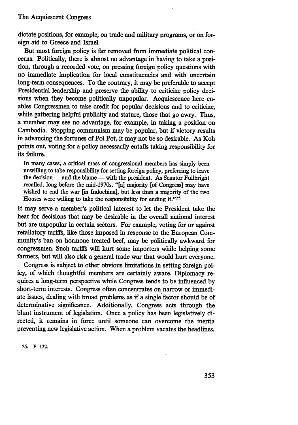dictate positions, for example, on trade and military programs, or on foreign aid to Greece and Israel.

But most foreign policy is far removed from immediate political concerns. Politically, there is almost no advantage in having to take a position, through a recorded vote, on pressing foreign policy questions with no immediate implication for local constituencies and with uncertain long-term consequences. To the contrary, it may be preferable to accept Presidential leadership and preserve the ability to criticize policy decisions when they become politically unpopular. Acquiescence here enables Congressmen to take credit for popular decisions and to criticize, while gathering helpful publicity and stature, those that go awry. Thus, a member may see no advantage, for example, in taking a position on Cambodia. Stopping communism may be popular, but if victory results in advancing the fortunes of Pol Pot, it may not be so desirable. As Koh points out, voting for a policy necessarily entails taking responsibility for its failure.

In many cases, a critical mass of congressional members has simply been unwilling to take responsibility for setting foreign policy, preferring to leave the decision **-** and the blame **-** with the president. As Senator Fullbright recalled, long before the mid-1970s, "[a] majority [of Congress] may have wished to end the war [in Indochina], but less than a majority of the two Houses were willing to take the responsibility for ending it." $25$ 

It may serve a member's political interest to let the President take the heat for decisions that may be desirable in the overall national interest but are unpopular in certain sectors. For example, voting for or against retaliatory tariffs, like those imposed in response to the European Community's ban on hormone treated beef, may be politically awkward for congressmen. Such tariffs will hurt some importers while helping some farmers, but will also risk a general trade war that would hurt everyone.

Congress is subject to other obvious limitations in setting foreign policy, of which thoughtful members are certainly aware. Diplomacy requires a long-term perspective while Congress tends to be influenced **by** short-term interests. Congress often concentrates on narrow or immediate issues, dealing with broad problems as if a single factor should be of determinative significance. Additionally, Congress acts through the blunt instrument of legislation. Once a policy has been legislatively directed, it remains in force until someone can overcome the inertia preventing new legislative action. When a problem vacates the headlines,

**25.** P. **132.**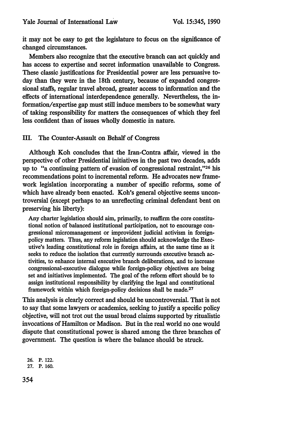it may not be easy to get the legislature to focus on the significance of changed circumstances.

Members also recognize that the executive branch can act quickly and has access to expertise and secret information unavailable to Congress. These classic justifications for Presidential power are less persuasive today than they were in the 18th century, because of expanded congressional staffs, regular travel abroad, greater access to information and the effects of international interdependence generally. Nevertheless, the information/expertise gap must still induce members to be somewhat wary of taking responsibility for matters the consequences of which they feel less confident than of issues wholly domestic in nature.

### III. The Counter-Assault on Behalf of Congress

Although Koh concludes that the Iran-Contra affair, viewed in the perspective of other Presidential initiatives in the past two decades, adds up to "a continuing pattern of evasion of congressional restraint,"<sup>26</sup> his recommendations point to incremental reform. He advocates new framework legislation incorporating a number of specific reforms, some of which have already been enacted. Koh's general objective seems uncontroversial (except perhaps to an unreflecting criminal defendant bent on preserving his liberty):

Any charter legislation should aim, primarily, to reaffirm the core constitutional notion of balanced institutional participation, not to encourage congressional micromanagement or improvident judicial activism in foreignpolicy matters. Thus, any reform legislation should acknowledge the Executive's leading constitutional role in foreign affairs, at the same time as it seeks to reduce the isolation that currently surrounds executive branch activities, to enhance internal executive branch deliberations, and to increase congressional-executive dialogue while foreign-policy objectives are being set and initiatives implemented. The goal of the reform effort should be to assign institutional responsibility by clarifying the legal and constitutional framework within which foreign-policy decisions shall be made.<sup>27</sup>

This analysis is clearly correct and should be uncontroversial. That is not to say that some lawyers or academics, seeking to justify a specific policy objective, will not trot out the usual broad claims supported by ritualistic invocations of Hamilton or Madison. But in the real world no one would dispute that constitutional power is shared among the three branches of government. The question is where the balance should be struck.

26. P. 122. **27.** P. 160.

354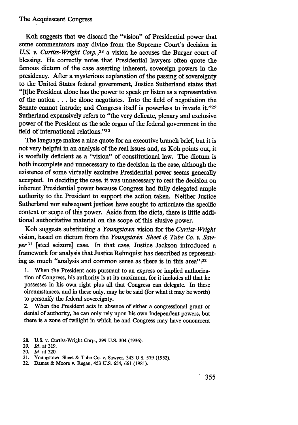#### The Acquiescent Congress

Koh suggests that we discard the "vision" of Presidential power that some commentators may divine from the Supreme Court's decision in *US. v. Curtiss-Wright Corp.,28* a vision he accuses the Burger court of blessing. He correctly notes that Presidential lawyers often quote the famous dictum of the case asserting inherent, sovereign powers in the presidency. After a mysterious explanation of the passing of sovereignty to the United States federal government, Justice Sutherland states that "[t]he President alone has the power to speak or listen as a representative of the nation **...** he alone negotiates. Into the field of negotiation the Senate cannot intrude; and Congress itself is powerless to invade it."<sup>25</sup> Sutherland expansively refers to "the very delicate, plenary and exclusive power of the President as the sole organ of the federal government in the field of international relations."<sup>30</sup>

The language makes a nice quote for an executive branch brief, but it is not very helpful in an analysis of the real issues and, as Koh points out, it is woefully deficient as a "vision" of constitutional law. The dictum is both incomplete and unnecessary to the decision in the case, although the existence of some virtually exclusive Presidential power seems generally accepted. In deciding the case, it was unnecessary to rest the decision on inherent Presidential power because Congress had fully delegated ample authority to the President to support the action taken. Neither Justice Sutherland nor subsequent justices have sought to articulate the specific content or scope of this power. Aside from the dicta, there is little additional authoritative material on the scope of this elusive power.

Koh suggests substituting a *Youngstown* vision for the *Curtiss-Wright* vision, based on dictum from the *Youngstown Sheet & Tube Co. v. Sawyer <sup>31</sup>*[steel seizure] case. In that case, Justice Jackson introduced a framework for analysis that Justice Rehnquist has described as representing as much "analysis and common sense as there is in this area":<sup>32</sup>

1. When the President acts pursuant to an express or implied authorization of Congress, his authority is at its maximum, for it includes all that he possesses in his own right plus all that Congress can delegate. In these circumstances, and in these only, may he be said (for what it may be worth) to personify the federal sovereignty.

2. When the President acts in absence of either a congressional grant or denial of authority, he can only rely upon his own independent powers, but there is a zone of twilight in which he and Congress may have concurrent

**28. U.S.** v. Curtiss-Wright Corp., **299 U.S.** 304 (1936).

**32.** Dames & Moore v. Regan, 453 **U.S.** 654, **661 (1981).**

<sup>29.</sup> *Id.* at 319.

<sup>30.</sup> *Id.* at 320.

<sup>31.</sup> Youngstown Sheet & Tube Co. v. Sawyer, 343 **U.S.** 579 (1952).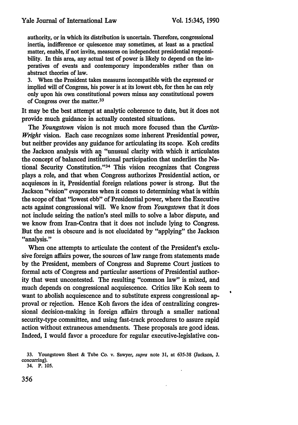authority, or in which its distribution is uncertain. Therefore, congressional inertia, indifference or quiescence may sometimes, at least as a practical matter, enable, if not invite, measures on independent presidential responsibility. In this area, any actual test of power is likely to depend on the imperatives of events and contemporary imponderables rather than on abstract theories of law.

**3.** When the President takes measures incompatible with the expressed or implied will of Congress, his power is at its lowest ebb, for then he can rely only upon his own constitutional powers minus any constitutional powers of Congress over the matter.33

It may be the best attempt at analytic coherence to date, but it does not provide much guidance in actually contested situations.

*The Youngstown* vision is not much more focused than the *Curtiss-Wright* vision. Each case recognizes some inherent Presidential power, but neither provides any guidance for articulating its scope. Koh credits the Jackson analysis with an "unusual clarity with which it articulates the concept of balanced institutional participation that underlies the National Security Constitution."<sup>34</sup> This vision recognizes that Congress plays a role, and that when Congress authorizes Presidential action, or acquiesces in it, Presidential foreign relations power is strong. But the Jackson "vision" evaporates when it comes to determining what is within the scope of that "lowest ebb" of Presidential power, where the Executive acts against congressional will. We know from *Youngstown* that it does not include seizing the nation's steel mills to solve a labor dispute, and we know from Iran-Contra that it does not include lying to Congress. But the rest is obscure and is not elucidated **by** "applying" the Jackson "analysis."

When one attempts to articulate the content of the President's exclusive foreign affairs power, the sources of law range from statements made **by** the President, members of Congress and Supreme Court justices to formal acts of Congress and particular assertions of Presidential authority that went uncontested. The resulting "common law" is mixed, and much depends on congressional acquiescence. Critics like Koh seem to want to abolish acquiescence and to substitute express congressional approval or rejection. Hence Koh favors the idea of centralizing congressional decision-making in foreign affairs through a smaller national security-type committee, and using fast-track procedures to assure rapid action without extraneous amendments. These proposals are good ideas. Indeed, I would favor a procedure for regular executive-legislative con-

**<sup>33.</sup>** Youngstown Sheet & Tube Co. v. Sawyer, *supra* note **31,** at **635-38** (Jackson, **J.** concurring).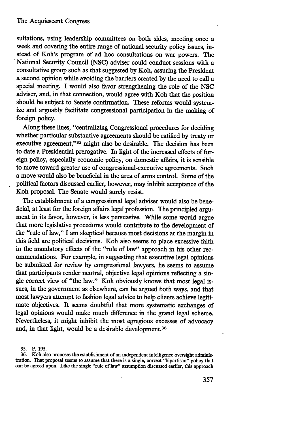sultations, using leadership committees on both sides, meeting once a week and covering the entire range of national security policy issues, instead of Koh's program of ad hoc consultations on war powers. The National Security Council (NSC) adviser could conduct sessions with a consultative group such as that suggested by Koh, assuring the President a second opinion while avoiding the barriers created by the need to call a special meeting. I would also favor strengthening the role of the NSC adviser, and, in that connection, would agree with Koh that the position should be subject to Senate confirmation. These reforms would systemize and arguably facilitate congressional participation in the making of foreign policy.

Along these lines, "centralizing Congressional procedures for deciding whether particular substantive agreements should be ratified by treaty or executive agreement,"<sup>35</sup> might also be desirable. The decision has been to date a Presidential prerogative. In light of the increased effects of foreign policy, especially economic policy, on domestic affairs, it is sensible to move toward greater use of congressional-executive agreements. Such a move would also be beneficial in the area of arms control. Some of the political factors discussed earlier, however, may inhibit acceptance of the Koh proposal. The Senate would surely resist.

The establishment of a congressional legal adviser would also be beneficial, at least for the foreign affairs legal profession. The principled argument in its favor, however, is less persuasive. While some would argue that more legislative procedures would contribute to the development of the "rule of law," I am skeptical because most decisions at the margin in this field are political decisions. Koh also seems to place excessive faith in the mandatory effects of the "rule of law" approach in his other recommendations. For example, in suggesting that executive legal opinions be submitted for review by congressional lawyers, he seems to assume that participants render neutral, objective legal opinions reflecting a single correct view of "the law." Koh obviously knows that most legal issues, in the government as elsewhere, can be argued both ways, and that most lawyers attempt to fashion legal advice to help clients achieve legitimate objectives. It seems doubtful that more systematic exchanges of legal opinions would make much difference in the grand legal scheme. Nevertheless, it might inhibit the most egregious excesses of advocacy and, in that light, would be a desirable development.<sup>36</sup>

**35.** P. **195.**

**36.** Koh also proposes the establishment of an independent intelligence oversight administration. That proposal seems to assume that there is a single, correct "bipartisan" policy that can be agreed upon. Like the single "rule of law" assumption discussed earlier, this approach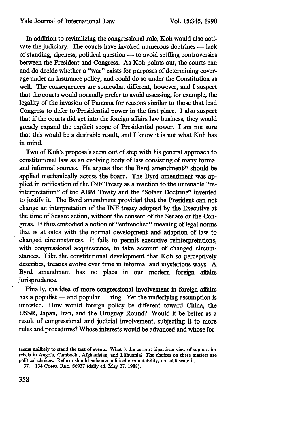In addition to revitalizing the congressional role, Koh would also activate the judiciary. The courts have invoked numerous doctrines  $-$  lack of standing, ripeness, political question **-** to avoid settling controversies between the President and Congress. As Koh points out, the courts can and do decide whether a "war" exists for purposes of determining coverage under an insurance policy, and could do so under the Constitution as well. The consequences are somewhat different, however, and I suspect that the courts would normally prefer to avoid assessing, for example, the legality of the invasion of Panama for reasons similar to those that lead Congress to defer to Presidential power in the first place. I also suspect that if the courts did get into the foreign affairs law business, they would greatly expand the explicit scope of Presidential power. I am not sure that this would be a desirable result, and I know it is not what Koh has in mind.

Two of Koh's proposals seem out of step with his general approach to constitutional law as an evolving body of law consisting of many formal and informal sources. He argues that the Byrd amendment<sup>37</sup> should be applied mechanically across the board. The Byrd amendment was applied in ratification of the INF Treaty as a reaction to the untenable "reinterpretation" of the ABM Treaty and the "Sofaer Doctrine" invented to justify it. The Byrd amendment provided that the President can not change an interpretation of the INF treaty adopted by the Executive at the time of Senate action, without the consent of the Senate or the Congress. It thus embodied a notion of "entrenched" meaning of legal norms that is at odds with the normal development and adaption of law to changed circumstances. It fails to permit executive reinterpretations, with congressional acquiescence, to take account of changed circumstances. Like the constitutional development that Koh so perceptively describes, treaties evolve over time in informal and mysterious ways. A Byrd amendment has no place in our modem foreign affairs jurisprudence.

Finally, the idea of more congressional involvement in foreign affairs has a populist — and popular — ring. Yet the underlying assumption is untested. How would foreign policy be different toward China, the USSR, Japan, Iran, and the Uruguay Round? Would it be better as a result of congressional and judicial involvement, subjecting it to more rules and procedures? Whose interests would be advanced and whose for-

seems unlikely to stand the test of events. What is the current bipartisan view of support for rebels in Angola, Cambodia, Afghanistan, and Lithuania? The choices on these matters **are** political choices. Reform should enhance political accountability, not obfuscate it.

**<sup>37.</sup>** 134 **CONG.** REc. **S6937** (daily ed. May **27, 1988).**